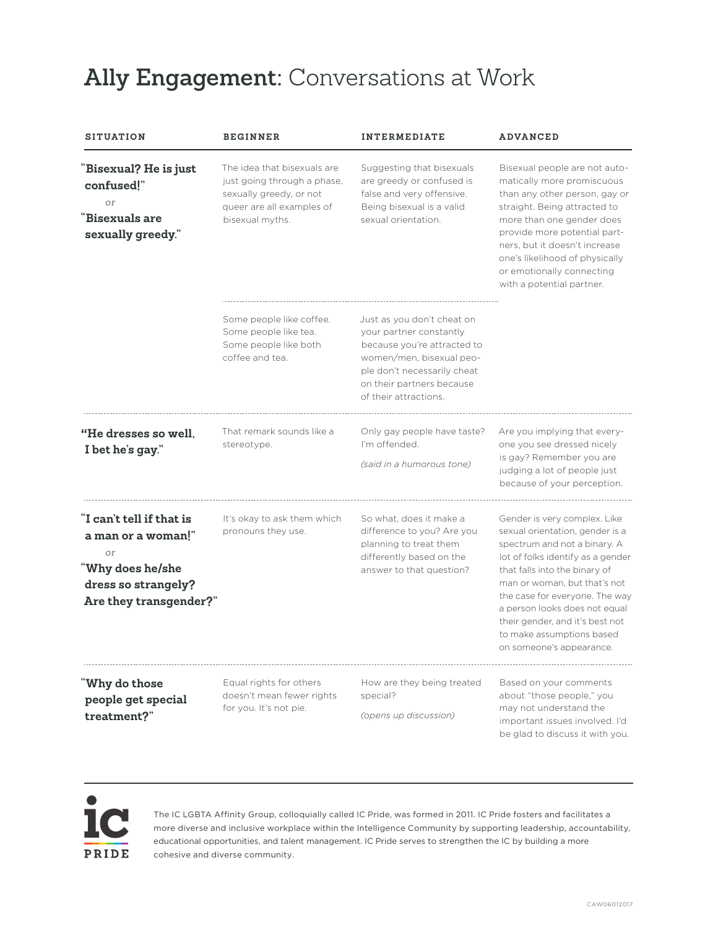## **Ally Engagement:** Conversations at Work

| <b>SITUATION</b>                                                                                                          | <b>BEGINNER</b>                                                                                                                       | <b>INTERMEDIATE</b>                                                                                                                                                                                   | <b>ADVANCED</b>                                                                                                                                                                                                                                                                                                                                                      |
|---------------------------------------------------------------------------------------------------------------------------|---------------------------------------------------------------------------------------------------------------------------------------|-------------------------------------------------------------------------------------------------------------------------------------------------------------------------------------------------------|----------------------------------------------------------------------------------------------------------------------------------------------------------------------------------------------------------------------------------------------------------------------------------------------------------------------------------------------------------------------|
| 'Bisexual? He is just<br>confused!"<br>$\Omega r$<br><b>Bisexuals are</b><br>sexually greedy."                            | The idea that bisexuals are<br>just going through a phase,<br>sexually greedy, or not<br>queer are all examples of<br>bisexual myths. | Suggesting that bisexuals<br>are greedy or confused is<br>false and very offensive.<br>Being bisexual is a valid<br>sexual orientation.                                                               | Bisexual people are not auto-<br>matically more promiscuous<br>than any other person, gay or<br>straight. Being attracted to<br>more than one gender does<br>provide more potential part-<br>ners, but it doesn't increase<br>one's likelihood of physically<br>or emotionally connecting<br>with a potential partner.                                               |
|                                                                                                                           | Some people like coffee.<br>Some people like tea.<br>Some people like both<br>coffee and tea.                                         | Just as you don't cheat on<br>your partner constantly<br>because you're attracted to<br>women/men, bisexual peo-<br>ple don't necessarily cheat<br>on their partners because<br>of their attractions. |                                                                                                                                                                                                                                                                                                                                                                      |
| <b>"He dresses so well.</b><br>I bet he's gay."                                                                           | That remark sounds like a<br>stereotype.                                                                                              | Only gay people have taste?<br>I'm offended.<br>(said in a humorous tone)                                                                                                                             | Are you implying that every-<br>one you see dressed nicely<br>is gay? Remember you are<br>judging a lot of people just<br>because of your perception.                                                                                                                                                                                                                |
| "I can't tell if that is<br>a man or a woman!"<br>or<br>'Why does he/she<br>dress so strangely?<br>Are they transgender?" | It's okay to ask them which<br>pronouns they use.                                                                                     | So what, does it make a<br>difference to you? Are you<br>planning to treat them<br>differently based on the<br>answer to that question?                                                               | Gender is very complex. Like<br>sexual orientation, gender is a<br>spectrum and not a binary. A<br>lot of folks identify as a gender<br>that falls into the binary of<br>man or woman, but that's not<br>the case for everyone. The way<br>a person looks does not equal<br>their gender, and it's best not<br>to make assumptions based<br>on someone's appearance. |
| "Why do those<br>people get special<br>treatment?"                                                                        | Equal rights for others<br>doesn't mean fewer rights<br>for you. It's not pie.                                                        | How are they being treated<br>special?<br>(opens up discussion)                                                                                                                                       | Based on your comments<br>about "those people," you<br>may not understand the<br>important issues involved. I'd<br>be glad to discuss it with you.                                                                                                                                                                                                                   |



The IC LGBTA Affinity Group, colloquially called IC Pride, was formed in 2011. IC Pride fosters and facilitates a more diverse and inclusive workplace within the Intelligence Community by supporting leadership, accountability, educational opportunities, and talent management. IC Pride serves to strengthen the IC by building a more cohesive and diverse community.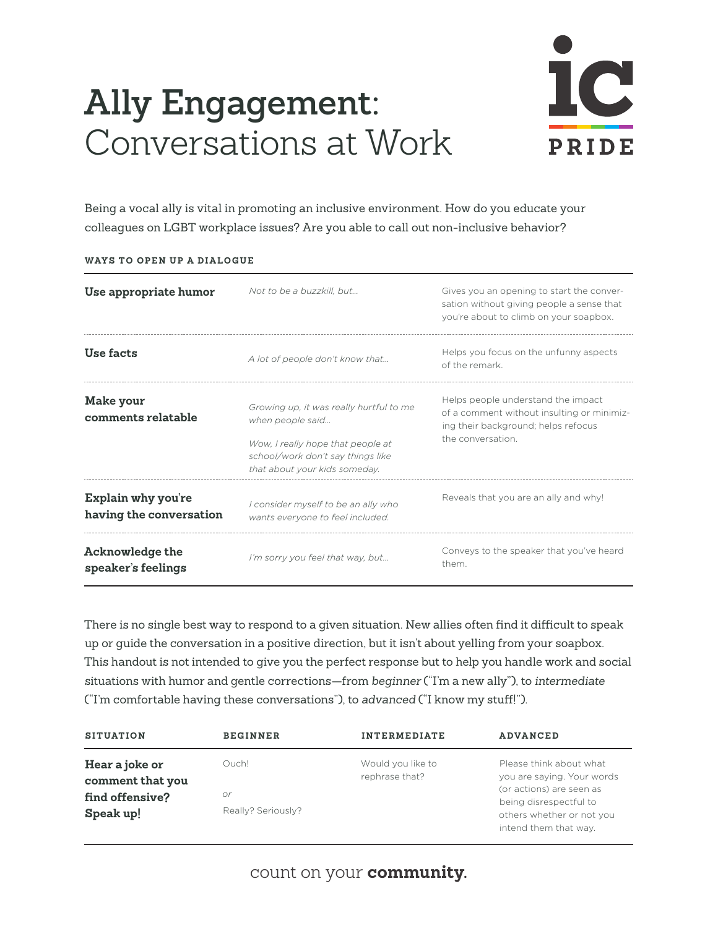## **Ally Engagement:** Conversations at Work



Being a vocal ally is vital in promoting an inclusive environment. How do you educate your colleagues on LGBT workplace issues? Are you able to call out non-inclusive behavior?

| Use appropriate humor                                | Not to be a buzzkill, but                                                                                                                                              | Gives you an opening to start the conver-<br>sation without giving people a sense that<br>vou're about to climb on your soapbox.            |
|------------------------------------------------------|------------------------------------------------------------------------------------------------------------------------------------------------------------------------|---------------------------------------------------------------------------------------------------------------------------------------------|
| Use facts                                            | A lot of people don't know that                                                                                                                                        | Helps you focus on the unfunny aspects<br>of the remark                                                                                     |
| Make your<br>comments relatable                      | Growing up, it was really hurtful to me<br>when people said<br>Wow, I really hope that people at<br>school/work don't say things like<br>that about your kids someday. | Helps people understand the impact<br>of a comment without insulting or minimiz-<br>ing their background; helps refocus<br>the conversation |
| <b>Explain why you're</b><br>having the conversation | I consider myself to be an ally who<br>wants everyone to feel included.                                                                                                | Reveals that you are an ally and why!                                                                                                       |
| <b>Acknowledge the</b><br>speaker's feelings         | I'm sorry you feel that way, but                                                                                                                                       | Conveys to the speaker that you've heard<br>them                                                                                            |

**WAYS TO OPEN UP A DIALOGUE**

There is no single best way to respond to a given situation. New allies often find it difficult to speak up or guide the conversation in a positive direction, but it isn't about yelling from your soapbox. This handout is not intended to give you the perfect response but to help you handle work and social situations with humor and gentle corrections—from *beginner* ("I'm a new ally"), to *intermediate* ("I'm comfortable having these conversations"), to *advanced* ("I know my stuff!").

| <b>SITUATION</b>                    | <b>BEGINNER</b>    | <b>INTERMEDIATE</b>                 | <b>ADVANCED</b>                                                              |
|-------------------------------------|--------------------|-------------------------------------|------------------------------------------------------------------------------|
| Hear a joke or                      | Ouch!              | Would you like to<br>rephrase that? | Please think about what<br>you are saying. Your words                        |
| comment that you<br>find offensive? | or                 |                                     | (or actions) are seen as                                                     |
| Speak up!                           | Really? Seriously? |                                     | being disrespectful to<br>others whether or not you<br>intend them that way. |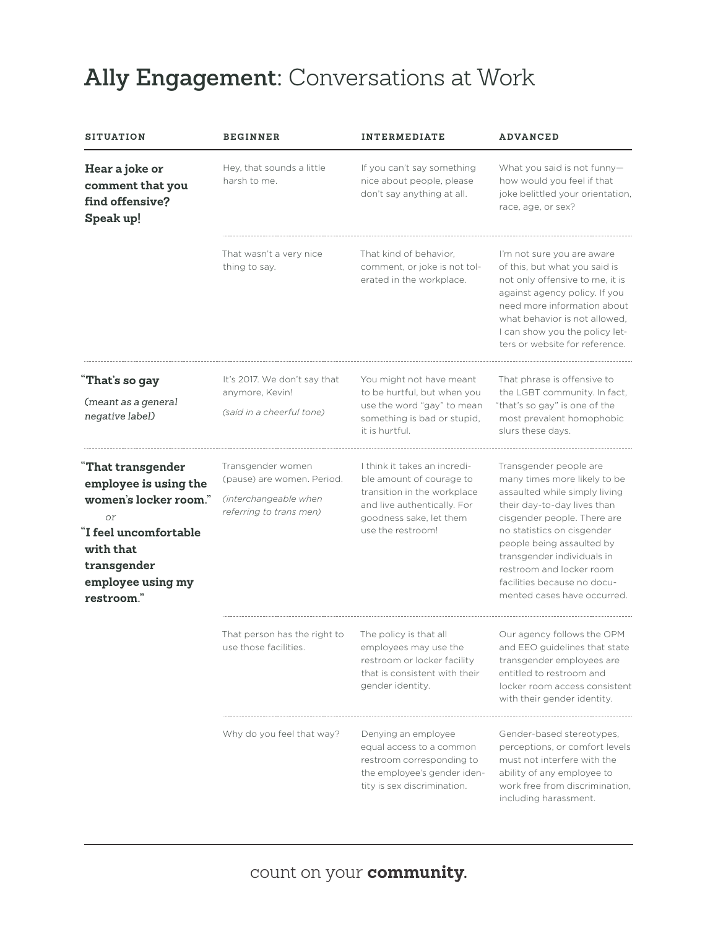## **Ally Engagement:** Conversations at Work

| <b>SITUATION</b>                                                                                                                                                | <b>BEGINNER</b>                                                                                     | <b>INTERMEDIATE</b>                                                                                                                                                    | <b>ADVANCED</b>                                                                                                                                                                                                                                                                                                                          |
|-----------------------------------------------------------------------------------------------------------------------------------------------------------------|-----------------------------------------------------------------------------------------------------|------------------------------------------------------------------------------------------------------------------------------------------------------------------------|------------------------------------------------------------------------------------------------------------------------------------------------------------------------------------------------------------------------------------------------------------------------------------------------------------------------------------------|
| Hear a joke or<br>comment that you<br>find offensive?<br>Speak up!                                                                                              | Hey, that sounds a little<br>harsh to me.                                                           | If you can't say something<br>nice about people, please<br>don't say anything at all.                                                                                  | What you said is not funny-<br>how would you feel if that<br>joke belittled your orientation,<br>race, age, or sex?                                                                                                                                                                                                                      |
|                                                                                                                                                                 | That wasn't a very nice<br>thing to say.                                                            | That kind of behavior.<br>comment, or joke is not tol-<br>erated in the workplace.                                                                                     | I'm not sure you are aware<br>of this, but what you said is<br>not only offensive to me, it is<br>against agency policy. If you<br>need more information about<br>what behavior is not allowed.<br>I can show you the policy let-<br>ters or website for reference.                                                                      |
| That's so gay<br>(meant as a general<br>negative label)                                                                                                         | It's 2017. We don't say that<br>anymore, Kevin!<br>(said in a cheerful tone)                        | You might not have meant<br>to be hurtful, but when you<br>use the word "gay" to mean<br>something is bad or stupid,<br>it is hurtful.                                 | That phrase is offensive to<br>the LGBT community. In fact,<br>"that's so gay" is one of the<br>most prevalent homophobic<br>slurs these days.                                                                                                                                                                                           |
| That transgender<br>employee is using the<br>women's locker room."<br>or<br>I feel uncomfortable<br>with that<br>transgender<br>employee using my<br>restroom." | Transgender women<br>(pause) are women. Period.<br>(interchangeable when<br>referring to trans men) | I think it takes an incredi-<br>ble amount of courage to<br>transition in the workplace<br>and live authentically. For<br>goodness sake, let them<br>use the restroom! | Transgender people are<br>many times more likely to be<br>assaulted while simply living<br>their day-to-day lives than<br>cisgender people. There are<br>no statistics on cisgender<br>people being assaulted by<br>transgender individuals in<br>restroom and locker room<br>facilities because no docu-<br>mented cases have occurred. |
|                                                                                                                                                                 | That person has the right to<br>use those facilities.                                               | The policy is that all<br>employees may use the<br>restroom or locker facility<br>that is consistent with their<br>gender identity.                                    | Our agency follows the OPM<br>and EEO quidelines that state<br>transgender employees are<br>entitled to restroom and<br>locker room access consistent<br>with their gender identity.                                                                                                                                                     |
|                                                                                                                                                                 | Why do you feel that way?                                                                           | Denying an employee<br>equal access to a common<br>restroom corresponding to<br>the employee's gender iden-<br>tity is sex discrimination.                             | Gender-based stereotypes,<br>perceptions, or comfort levels<br>must not interfere with the<br>ability of any employee to<br>work free from discrimination,<br>including harassment.                                                                                                                                                      |